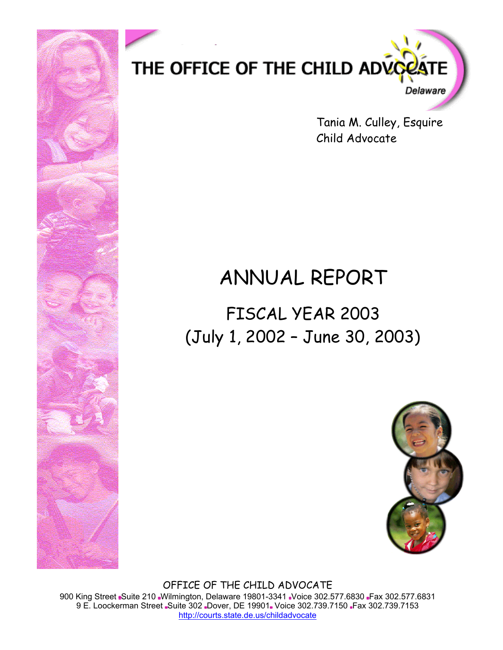

Tania M. Culley, Esquire Child Advocate

# ANNUAL REPORT

FISCAL YEAR 2003 (July 1, 2002 – June 30, 2003)



OFFICE OF THE CHILD ADVOCATE 900 King Street Suite 210 Wilmington, Delaware 19801-3341 Voice 302.577.6830 Fax 302.577.6831 9 E. Loockerman Street Suite 302 Dover, DE 19901. Voice 302.739.7150 Fax 302.739.7153 http://courts.state.de.us/childadvocate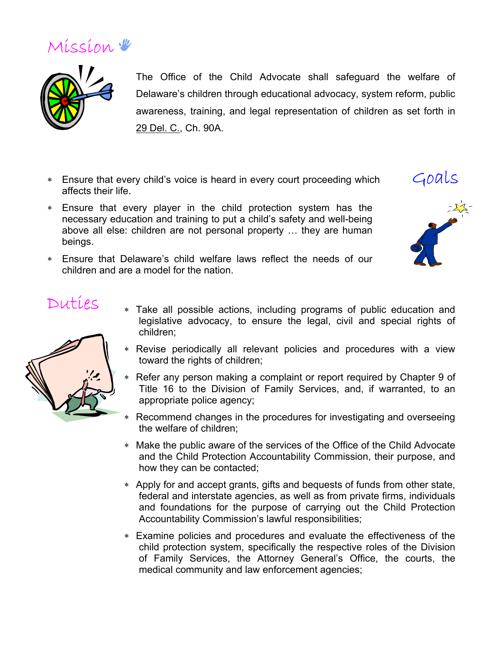



The Office of the Child Advocate shall safeguard the welfare of Delaware's children through educational advocacy, system reform, public awareness, training, and legal representation of children as set forth in 29 Del. C., Ch. 90A.

- ∗ Ensure that every child's voice is heard in every court proceeding which affects their life.
- ∗ Ensure that every player in the child protection system has the necessary education and training to put a child's safety and well-being above all else: children are not personal property … they are human beings.
- ∗ Ensure that Delaware's child welfare laws reflect the needs of our children and are a model for the nation.



### Duties

- 
- ∗ Take all possible actions, including programs of public education and legislative advocacy, to ensure the legal, civil and special rights of children;
- ∗ Revise periodically all relevant policies and procedures with a view toward the rights of children;
- ∗ Refer any person making a complaint or report required by Chapter 9 of Title 16 to the Division of Family Services, and, if warranted, to an appropriate police agency;
- ∗ Recommend changes in the procedures for investigating and overseeing the welfare of children;
- ∗ Make the public aware of the services of the Office of the Child Advocate and the Child Protection Accountability Commission, their purpose, and how they can be contacted;
- ∗ Apply for and accept grants, gifts and bequests of funds from other state, federal and interstate agencies, as well as from private firms, individuals and foundations for the purpose of carrying out the Child Protection Accountability Commission's lawful responsibilities;
- ∗ Examine policies and procedures and evaluate the effectiveness of the child protection system, specifically the respective roles of the Division of Family Services, the Attorney General's Office, the courts, the medical community and law enforcement agencies;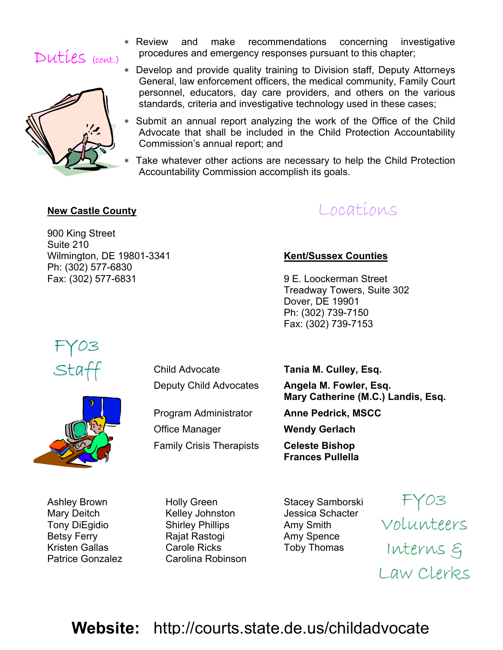



- ∗ Review and make recommendations concerning investigative procedures and emergency responses pursuant to this chapter;
- Develop and provide quality training to Division staff, Deputy Attorneys General, law enforcement officers, the medical community, Family Court personnel, educators, day care providers, and others on the various standards, criteria and investigative technology used in these cases;
- ∗ Submit an annual report analyzing the work of the Office of the Child Advocate that shall be included in the Child Protection Accountability Commission's annual report; and
	- Take whatever other actions are necessary to help the Child Protection Accountability Commission accomplish its goals.

#### **New Castle County**

900 King Street Suite 210 Wilmington, DE 19801-3341 **Kent/Sussex Counties** Ph: (302) 577-6830 Fax: (302) 577-6831 9 E. Loockerman Street

Locations

 Treadway Towers, Suite 302 Dover, DE 19901 Ph: (302) 739-7150 Fax: (302) 739-7153



Child Advocate **Tania M. Culley, Esq.**

Deputy Child Advocates **Angela M. Fowler, Esq. Mary Catherine (M.C.) Landis, Esq.**

Program Administrator **Anne Pedrick, MSCC**

Office Manager **Wendy Gerlach**

Family Crisis Therapists **Celeste Bishop Frances Pullella** 

Ashley Brown **Holly Green** Stacey Samborski

Mary Deitch **Kelley Johnston** Jessica Schacter Tony DiEgidio Shirley Phillips Amy Smith Betsy Ferry **Rajat Rastogi** Amy Spence Kristen Gallas **Carole Ricks** Toby Thomas Patrice Gonzalez Carolina Robinson

FY03 Volunteers Interns & Law Clerks

**Website:** http://courts.state.de.us/childadvocate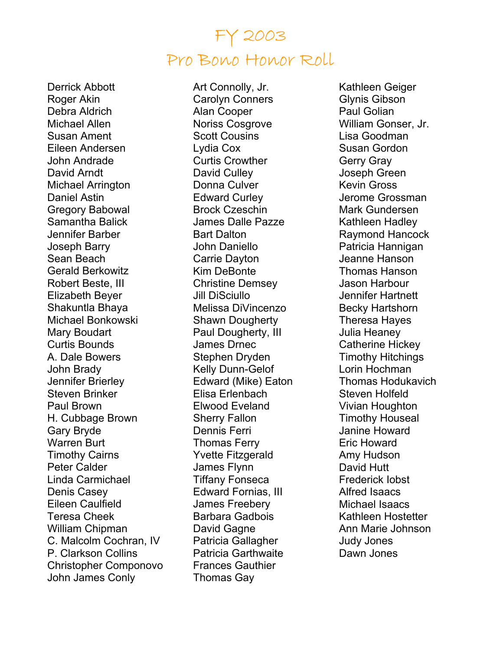### FY 2003 Pro Bono Honor Roll

Derrick Abbott Roger Akin Debra Aldrich Michael Allen Susan Ament Eileen Andersen John Andrade David Arndt Michael Arrington Daniel Astin Gregory Babowal Samantha Balick Jennifer Barber Joseph Barry Sean Beach Gerald Berkowitz Robert Beste, III Elizabeth Beyer Shakuntla Bhaya Michael Bonkowski Mary Boudart Curtis Bounds A. Dale Bowers John Brady Jennifer Brierley Steven Brinker Paul Brown H. Cubbage Brown Gary Bryde Warren Burt Timothy Cairns Peter Calder Linda Carmichael Denis Casey Eileen Caulfield Teresa Cheek William Chipman C. Malcolm Cochran, IV P. Clarkson Collins Christopher Componovo John James Conly

Art Connolly, Jr. Carolyn Conners Alan Cooper Noriss Cosgrove Scott Cousins Lydia Cox Curtis Crowther David Culley Donna Culver Edward Curley Brock Czeschin James Dalle Pazze Bart Dalton John Daniello Carrie Dayton Kim DeBonte Christine Demsey Jill DiSciullo Melissa DiVincenzo Shawn Dougherty Paul Dougherty, III James Drnec Stephen Dryden Kelly Dunn-Gelof Edward (Mike) Eaton Elisa Erlenbach Elwood Eveland Sherry Fallon Dennis Ferri Thomas Ferry Yvette Fitzgerald James Flynn Tiffany Fonseca Edward Fornias, III James Freebery Barbara Gadbois David Gagne Patricia Gallagher Patricia Garthwaite Frances Gauthier Thomas Gay

Kathleen Geiger Glynis Gibson Paul Golian William Gonser, Jr. Lisa Goodman Susan Gordon Gerry Gray Joseph Green Kevin Gross Jerome Grossman Mark Gundersen Kathleen Hadley Raymond Hancock Patricia Hannigan Jeanne Hanson Thomas Hanson Jason Harbour Jennifer Hartnett Becky Hartshorn Theresa Hayes Julia Heaney Catherine Hickey Timothy Hitchings Lorin Hochman Thomas Hodukavich Steven Holfeld Vivian Houghton Timothy Houseal Janine Howard Eric Howard Amy Hudson David Hutt Frederick Iobst Alfred Isaacs Michael Isaacs Kathleen Hostetter Ann Marie Johnson Judy Jones Dawn Jones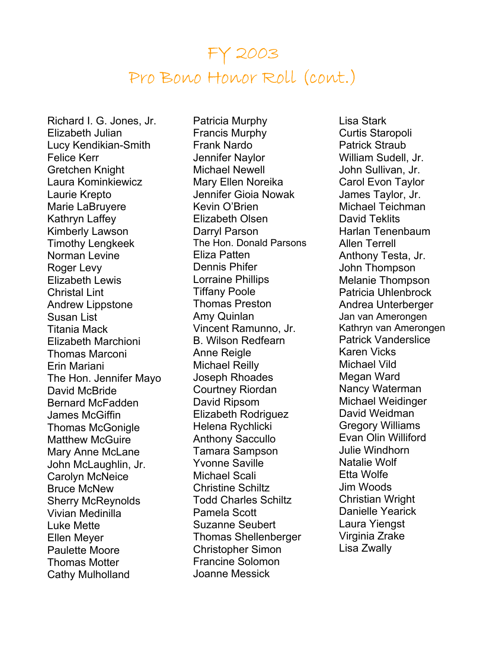## FY 2003 Pro Bono Honor Roll (cont.)

Richard I. G. Jones, Jr. Elizabeth Julian Lucy Kendikian-Smith Felice Kerr Gretchen Knight Laura Kominkiewicz Laurie Krepto Marie LaBruyere Kathryn Laffey Kimberly Lawson Timothy Lengkeek Norman Levine Roger Levy Elizabeth Lewis Christal Lint Andrew Lippstone Susan List Titania Mack Elizabeth Marchioni Thomas Marconi Erin Mariani The Hon. Jennifer Mayo David McBride Bernard McFadden James McGiffin Thomas McGonigle Matthew McGuire Mary Anne McLane John McLaughlin, Jr. Carolyn McNeice Bruce McNew Sherry McReynolds Vivian Medinilla Luke Mette Ellen Meyer Paulette Moore Thomas Motter Cathy Mulholland

Patricia Murphy Francis Murphy Frank Nardo Jennifer Naylor Michael Newell Mary Ellen Noreika Jennifer Gioia Nowak Kevin O'Brien Elizabeth Olsen Darryl Parson The Hon. Donald Parsons Eliza Patten Dennis Phifer Lorraine Phillips Tiffany Poole Thomas Preston Amy Quinlan Vincent Ramunno, Jr. B. Wilson Redfearn Anne Reigle Michael Reilly Joseph Rhoades Courtney Riordan David Ripsom Elizabeth Rodriguez Helena Rychlicki Anthony Saccullo Tamara Sampson Yvonne Saville Michael Scali Christine Schiltz Todd Charles Schiltz Pamela Scott Suzanne Seubert Thomas Shellenberger Christopher Simon Francine Solomon Joanne Messick

Lisa Stark Curtis Staropoli Patrick Straub William Sudell, Jr. John Sullivan, Jr. Carol Evon Taylor James Taylor, Jr. Michael Teichman David Teklits Harlan Tenenbaum Allen Terrell Anthony Testa, Jr. John Thompson Melanie Thompson Patricia Uhlenbrock Andrea Unterberger Jan van Amerongen Kathryn van Amerongen Patrick Vanderslice Karen Vicks Michael Vild Megan Ward Nancy Waterman Michael Weidinger David Weidman Gregory Williams Evan Olin Williford Julie Windhorn Natalie Wolf Etta Wolfe Jim Woods Christian Wright Danielle Yearick Laura Yiengst Virginia Zrake Lisa Zwally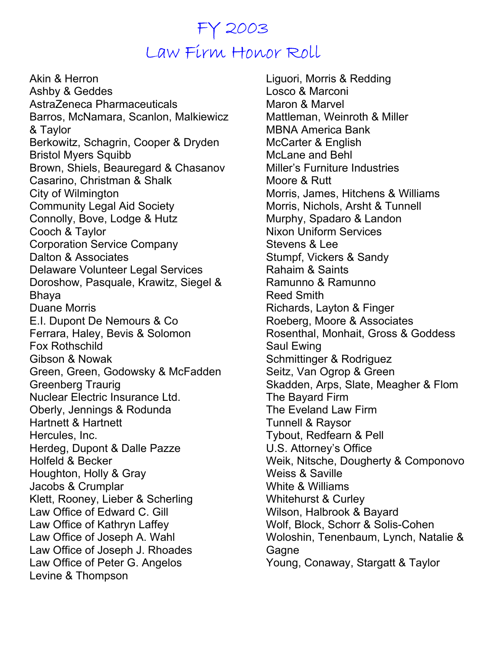# FY 2003 Law Firm Honor Roll

Akin & Herron Ashby & Geddes AstraZeneca Pharmaceuticals Barros, McNamara, Scanlon, Malkiewicz & Taylor Berkowitz, Schagrin, Cooper & Dryden Bristol Myers Squibb Brown, Shiels, Beauregard & Chasanov Casarino, Christman & Shalk City of Wilmington Community Legal Aid Society Connolly, Bove, Lodge & Hutz Cooch & Taylor Corporation Service Company Dalton & Associates Delaware Volunteer Legal Services Doroshow, Pasquale, Krawitz, Siegel & Bhaya Duane Morris E.I. Dupont De Nemours & Co Ferrara, Haley, Bevis & Solomon Fox Rothschild Gibson & Nowak Green, Green, Godowsky & McFadden Greenberg Traurig Nuclear Electric Insurance Ltd. Oberly, Jennings & Rodunda Hartnett & Hartnett Hercules, Inc. Herdeg, Dupont & Dalle Pazze Holfeld & Becker Houghton, Holly & Gray Jacobs & Crumplar Klett, Rooney, Lieber & Scherling Law Office of Edward C. Gill Law Office of Kathryn Laffey Law Office of Joseph A. Wahl Law Office of Joseph J. Rhoades Law Office of Peter G. Angelos Levine & Thompson

Liguori, Morris & Redding Losco & Marconi Maron & Marvel Mattleman, Weinroth & Miller MBNA America Bank McCarter & English McLane and Behl Miller's Furniture Industries Moore & Rutt Morris, James, Hitchens & Williams Morris, Nichols, Arsht & Tunnell Murphy, Spadaro & Landon Nixon Uniform Services Stevens & Lee Stumpf, Vickers & Sandy Rahaim & Saints Ramunno & Ramunno Reed Smith Richards, Layton & Finger Roeberg, Moore & Associates Rosenthal, Monhait, Gross & Goddess Saul Ewing Schmittinger & Rodriguez Seitz, Van Ogrop & Green Skadden, Arps, Slate, Meagher & Flom The Bayard Firm The Eveland Law Firm Tunnell & Raysor Tybout, Redfearn & Pell U.S. Attorney's Office Weik, Nitsche, Dougherty & Componovo Weiss & Saville White & Williams Whitehurst & Curley Wilson, Halbrook & Bayard Wolf, Block, Schorr & Solis-Cohen Woloshin, Tenenbaum, Lynch, Natalie & **Gagne** Young, Conaway, Stargatt & Taylor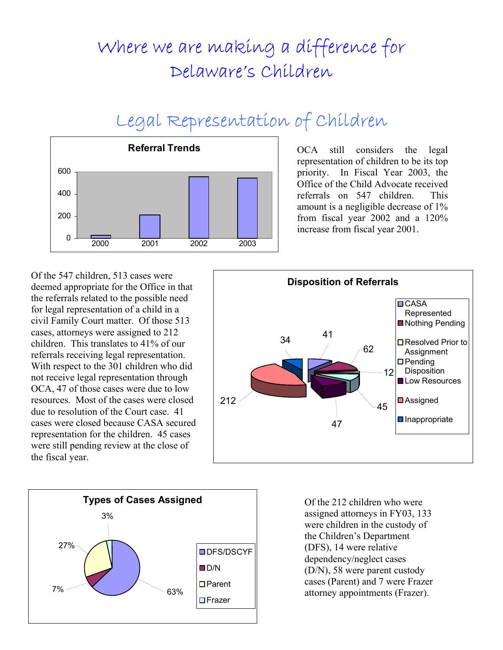# Where we are making a difference for Delaware's Children

# Legal Representation of Children



OCA still considers the legal representation of children to be its top priority. In Fiscal Year 2003, the Office of the Child Advocate received referrals on 547 children. This amount is a negligible decrease of 1% from fiscal year 2002 and a 120% increase from fiscal year 2001.

Of the 547 children, 513 cases were deemed appropriate for the Office in that the referrals related to the possible need for legal representation of a child in a civil Family Court matter. Of those 513 cases, attorneys were assigned to 212 children. This translates to 41% of our referrals receiving legal representation. With respect to the 301 children who did not receive legal representation through OCA, 47 of those cases were due to low resources. Most of the cases were closed due to resolution of the Court case. 41 cases were closed because CASA secured representation for the children. 45 cases were still pending review at the close of the fiscal year.





Of the 212 children who were assigned attorneys in FY03, 133 were children in the custody of the Children's Department (DFS), 14 were relative dependency/neglect cases (D/N), 58 were parent custody cases (Parent) and 7 were Frazer attorney appointments (Frazer).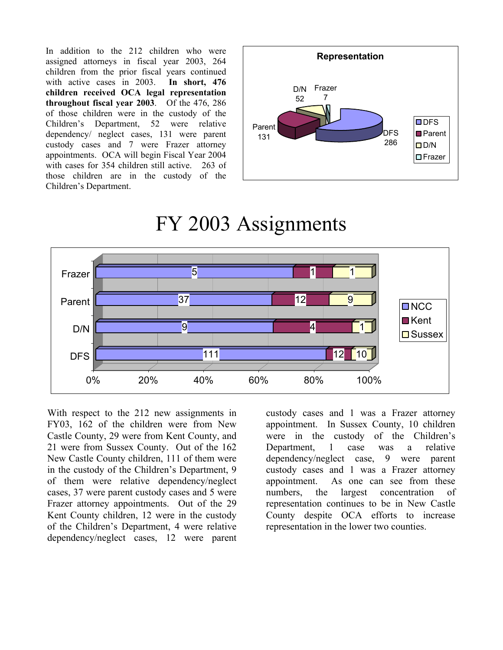In addition to the 212 children who were assigned attorneys in fiscal year 2003, 264 children from the prior fiscal years continued with active cases in 2003. **In short, 476 children received OCA legal representation throughout fiscal year 2003**. Of the 476, 286 of those children were in the custody of the Children's Department, 52 were relative dependency/ neglect cases, 131 were parent custody cases and 7 were Frazer attorney appointments. OCA will begin Fiscal Year 2004 with cases for 354 children still active. 263 of those children are in the custody of the Children's Department.



## FY 2003 Assignments



With respect to the 212 new assignments in FY03, 162 of the children were from New Castle County, 29 were from Kent County, and 21 were from Sussex County. Out of the 162 New Castle County children, 111 of them were in the custody of the Children's Department, 9 of them were relative dependency/neglect cases, 37 were parent custody cases and 5 were Frazer attorney appointments. Out of the 29 Kent County children, 12 were in the custody of the Children's Department, 4 were relative dependency/neglect cases, 12 were parent

custody cases and 1 was a Frazer attorney appointment. In Sussex County, 10 children were in the custody of the Children's Department, 1 case was a relative dependency/neglect case, 9 were parent custody cases and 1 was a Frazer attorney appointment. As one can see from these numbers, the largest concentration of representation continues to be in New Castle County despite OCA efforts to increase representation in the lower two counties.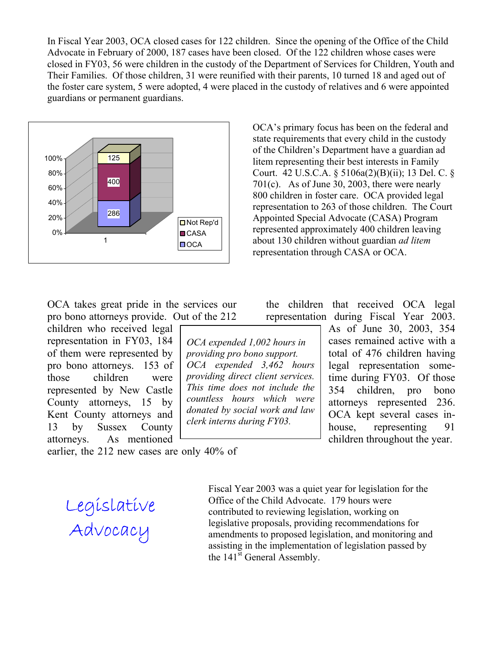In Fiscal Year 2003, OCA closed cases for 122 children. Since the opening of the Office of the Child Advocate in February of 2000, 187 cases have been closed. Of the 122 children whose cases were closed in FY03, 56 were children in the custody of the Department of Services for Children, Youth and Their Families. Of those children, 31 were reunified with their parents, 10 turned 18 and aged out of the foster care system, 5 were adopted, 4 were placed in the custody of relatives and 6 were appointed guardians or permanent guardians.



OCA's primary focus has been on the federal and state requirements that every child in the custody of the Children's Department have a guardian ad litem representing their best interests in Family Court. 42 U.S.C.A. § 5106a(2)(B)(ii); 13 Del. C. § 701(c). As of June 30, 2003, there were nearly 800 children in foster care. OCA provided legal representation to 263 of those children. The Court Appointed Special Advocate (CASA) Program represented approximately 400 children leaving about 130 children without guardian *ad litem* representation through CASA or OCA.

OCA takes great pride in the services our pro bono attorneys provide. Out of the 212

children who received legal representation in FY03, 184 of them were represented by pro bono attorneys. 153 of those children were represented by New Castle County attorneys, 15 by Kent County attorneys and 13 by Sussex County attorneys. As mentioned

*OCA expended 1,002 hours in providing pro bono support. OCA expended 3,462 hours providing direct client services. This time does not include the countless hours which were donated by social work and law clerk interns during FY03.* 

the children that received OCA legal representation during Fiscal Year 2003.

> As of June 30, 2003, 354 cases remained active with a total of 476 children having legal representation sometime during FY03. Of those 354 children, pro bono attorneys represented 236. OCA kept several cases inhouse, representing 91 children throughout the year.

earlier, the 212 new cases are only 40% of

Legislative Advocacy

Fiscal Year 2003 was a quiet year for legislation for the Office of the Child Advocate. 179 hours were contributed to reviewing legislation, working on legislative proposals, providing recommendations for amendments to proposed legislation, and monitoring and assisting in the implementation of legislation passed by the 141<sup>st</sup> General Assembly.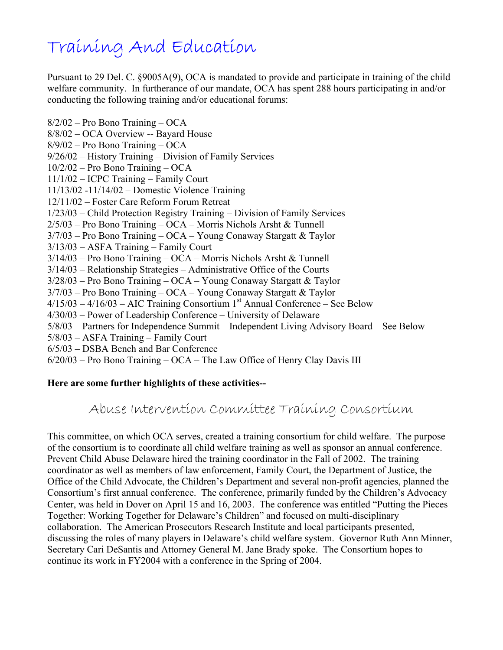# Training And Education

Pursuant to 29 Del. C. §9005A(9), OCA is mandated to provide and participate in training of the child welfare community. In furtherance of our mandate, OCA has spent 288 hours participating in and/or conducting the following training and/or educational forums:

8/2/02 – Pro Bono Training – OCA 8/8/02 – OCA Overview -- Bayard House 8/9/02 – Pro Bono Training – OCA 9/26/02 – History Training – Division of Family Services 10/2/02 – Pro Bono Training – OCA 11/1/02 – ICPC Training – Family Court 11/13/02 -11/14/02 – Domestic Violence Training 12/11/02 – Foster Care Reform Forum Retreat 1/23/03 – Child Protection Registry Training – Division of Family Services 2/5/03 – Pro Bono Training – OCA – Morris Nichols Arsht & Tunnell 3/7/03 – Pro Bono Training – OCA – Young Conaway Stargatt & Taylor 3/13/03 – ASFA Training – Family Court 3/14/03 – Pro Bono Training – OCA – Morris Nichols Arsht & Tunnell 3/14/03 – Relationship Strategies – Administrative Office of the Courts 3/28/03 – Pro Bono Training – OCA – Young Conaway Stargatt & Taylor 3/7/03 – Pro Bono Training – OCA – Young Conaway Stargatt & Taylor  $4/15/03 - 4/16/03 - AIC Training Consortium 1<sup>st</sup> Annual Conference – See Below$ 4/30/03 – Power of Leadership Conference – University of Delaware 5/8/03 – Partners for Independence Summit – Independent Living Advisory Board – See Below 5/8/03 – ASFA Training – Family Court 6/5/03 – DSBA Bench and Bar Conference 6/20/03 – Pro Bono Training – OCA – The Law Office of Henry Clay Davis III

#### **Here are some further highlights of these activities--**

Abuse Intervention Committee Training Consortium

This committee, on which OCA serves, created a training consortium for child welfare. The purpose of the consortium is to coordinate all child welfare training as well as sponsor an annual conference. Prevent Child Abuse Delaware hired the training coordinator in the Fall of 2002. The training coordinator as well as members of law enforcement, Family Court, the Department of Justice, the Office of the Child Advocate, the Children's Department and several non-profit agencies, planned the Consortium's first annual conference. The conference, primarily funded by the Children's Advocacy Center, was held in Dover on April 15 and 16, 2003. The conference was entitled "Putting the Pieces Together: Working Together for Delaware's Children" and focused on multi-disciplinary collaboration. The American Prosecutors Research Institute and local participants presented, discussing the roles of many players in Delaware's child welfare system. Governor Ruth Ann Minner, Secretary Cari DeSantis and Attorney General M. Jane Brady spoke. The Consortium hopes to continue its work in FY2004 with a conference in the Spring of 2004.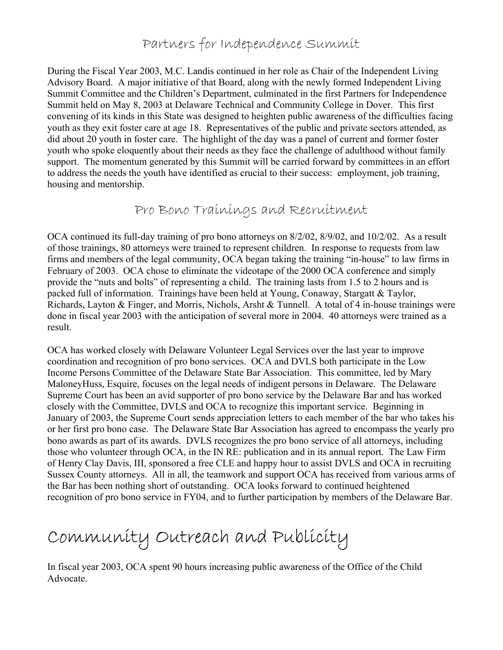### Partners for Independence Summit

During the Fiscal Year 2003, M.C. Landis continued in her role as Chair of the Independent Living Advisory Board. A major initiative of that Board, along with the newly formed Independent Living Summit Committee and the Children's Department, culminated in the first Partners for Independence Summit held on May 8, 2003 at Delaware Technical and Community College in Dover. This first convening of its kinds in this State was designed to heighten public awareness of the difficulties facing youth as they exit foster care at age 18. Representatives of the public and private sectors attended, as did about 20 youth in foster care. The highlight of the day was a panel of current and former foster youth who spoke eloquently about their needs as they face the challenge of adulthood without family support. The momentum generated by this Summit will be carried forward by committees in an effort to address the needs the youth have identified as crucial to their success: employment, job training, housing and mentorship.

Pro Bono Trainings and Recruitment

OCA continued its full-day training of pro bono attorneys on 8/2/02, 8/9/02, and 10/2/02. As a result of those trainings, 80 attorneys were trained to represent children. In response to requests from law firms and members of the legal community, OCA began taking the training "in-house" to law firms in February of 2003. OCA chose to eliminate the videotape of the 2000 OCA conference and simply provide the "nuts and bolts" of representing a child. The training lasts from 1.5 to 2 hours and is packed full of information. Trainings have been held at Young, Conaway, Stargatt & Taylor, Richards, Layton & Finger, and Morris, Nichols, Arsht & Tunnell. A total of 4 in-house trainings were done in fiscal year 2003 with the anticipation of several more in 2004. 40 attorneys were trained as a result.

OCA has worked closely with Delaware Volunteer Legal Services over the last year to improve coordination and recognition of pro bono services. OCA and DVLS both participate in the Low Income Persons Committee of the Delaware State Bar Association. This committee, led by Mary MaloneyHuss, Esquire, focuses on the legal needs of indigent persons in Delaware. The Delaware Supreme Court has been an avid supporter of pro bono service by the Delaware Bar and has worked closely with the Committee, DVLS and OCA to recognize this important service. Beginning in January of 2003, the Supreme Court sends appreciation letters to each member of the bar who takes his or her first pro bono case. The Delaware State Bar Association has agreed to encompass the yearly pro bono awards as part of its awards. DVLS recognizes the pro bono service of all attorneys, including those who volunteer through OCA, in the IN RE: publication and in its annual report. The Law Firm of Henry Clay Davis, III, sponsored a free CLE and happy hour to assist DVLS and OCA in recruiting Sussex County attorneys. All in all, the teamwork and support OCA has received from various arms of the Bar has been nothing short of outstanding. OCA looks forward to continued heightened recognition of pro bono service in FY04, and to further participation by members of the Delaware Bar.

# Community Outreach and Publicity

In fiscal year 2003, OCA spent 90 hours increasing public awareness of the Office of the Child Advocate.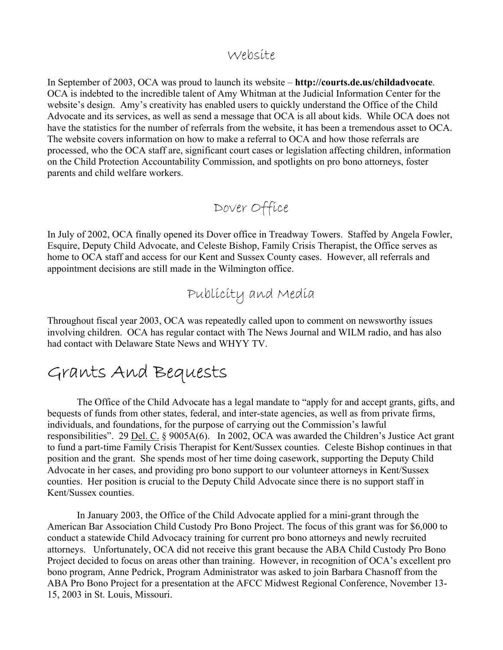### Website

In September of 2003, OCA was proud to launch its website – **http://courts.de.us/childadvocate**. OCA is indebted to the incredible talent of Amy Whitman at the Judicial Information Center for the website's design. Amy's creativity has enabled users to quickly understand the Office of the Child Advocate and its services, as well as send a message that OCA is all about kids. While OCA does not have the statistics for the number of referrals from the website, it has been a tremendous asset to OCA. The website covers information on how to make a referral to OCA and how those referrals are processed, who the OCA staff are, significant court cases or legislation affecting children, information on the Child Protection Accountability Commission, and spotlights on pro bono attorneys, foster parents and child welfare workers.

### Dover Office

In July of 2002, OCA finally opened its Dover office in Treadway Towers. Staffed by Angela Fowler, Esquire, Deputy Child Advocate, and Celeste Bishop, Family Crisis Therapist, the Office serves as home to OCA staff and access for our Kent and Sussex County cases. However, all referrals and appointment decisions are still made in the Wilmington office.

Publicity and Media

Throughout fiscal year 2003, OCA was repeatedly called upon to comment on newsworthy issues involving children. OCA has regular contact with The News Journal and WILM radio, and has also had contact with Delaware State News and WHYY TV.

### Grants And Bequests

The Office of the Child Advocate has a legal mandate to "apply for and accept grants, gifts, and bequests of funds from other states, federal, and inter-state agencies, as well as from private firms, individuals, and foundations, for the purpose of carrying out the Commission's lawful responsibilities". 29 Del. C. § 9005A(6). In 2002, OCA was awarded the Children's Justice Act grant to fund a part-time Family Crisis Therapist for Kent/Sussex counties. Celeste Bishop continues in that position and the grant. She spends most of her time doing casework, supporting the Deputy Child Advocate in her cases, and providing pro bono support to our volunteer attorneys in Kent/Sussex counties. Her position is crucial to the Deputy Child Advocate since there is no support staff in Kent/Sussex counties.

In January 2003, the Office of the Child Advocate applied for a mini-grant through the American Bar Association Child Custody Pro Bono Project. The focus of this grant was for \$6,000 to conduct a statewide Child Advocacy training for current pro bono attorneys and newly recruited attorneys. Unfortunately, OCA did not receive this grant because the ABA Child Custody Pro Bono Project decided to focus on areas other than training. However, in recognition of OCA's excellent pro bono program, Anne Pedrick, Program Administrator was asked to join Barbara Chasnoff from the ABA Pro Bono Project for a presentation at the AFCC Midwest Regional Conference, November 13- 15, 2003 in St. Louis, Missouri.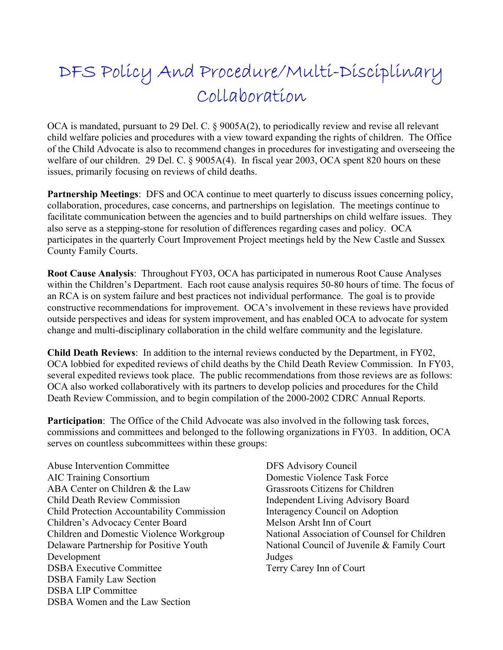# DFS Policy And Procedure/Multi-Disciplinary Collaboration

OCA is mandated, pursuant to 29 Del. C. § 9005A(2), to periodically review and revise all relevant child welfare policies and procedures with a view toward expanding the rights of children. The Office of the Child Advocate is also to recommend changes in procedures for investigating and overseeing the welfare of our children. 29 Del. C. § 9005A(4). In fiscal year 2003, OCA spent 820 hours on these issues, primarily focusing on reviews of child deaths.

**Partnership Meetings**: DFS and OCA continue to meet quarterly to discuss issues concerning policy, collaboration, procedures, case concerns, and partnerships on legislation. The meetings continue to facilitate communication between the agencies and to build partnerships on child welfare issues. They also serve as a stepping-stone for resolution of differences regarding cases and policy. OCA participates in the quarterly Court Improvement Project meetings held by the New Castle and Sussex County Family Courts.

**Root Cause Analysis**: Throughout FY03, OCA has participated in numerous Root Cause Analyses within the Children's Department. Each root cause analysis requires 50-80 hours of time. The focus of an RCA is on system failure and best practices not individual performance. The goal is to provide constructive recommendations for improvement. OCA's involvement in these reviews have provided outside perspectives and ideas for system improvement, and has enabled OCA to advocate for system change and multi-disciplinary collaboration in the child welfare community and the legislature.

**Child Death Reviews**: In addition to the internal reviews conducted by the Department, in FY02, OCA lobbied for expedited reviews of child deaths by the Child Death Review Commission. In FY03, several expedited reviews took place. The public recommendations from those reviews are as follows: OCA also worked collaboratively with its partners to develop policies and procedures for the Child Death Review Commission, and to begin compilation of the 2000-2002 CDRC Annual Reports.

**Participation**: The Office of the Child Advocate was also involved in the following task forces, commissions and committees and belonged to the following organizations in FY03. In addition, OCA serves on countless subcommittees within these groups:

Abuse Intervention Committee AIC Training Consortium ABA Center on Children & the Law Child Death Review Commission Child Protection Accountability Commission Children's Advocacy Center Board Children and Domestic Violence Workgroup Delaware Partnership for Positive Youth Development DSBA Executive Committee DSBA Family Law Section DSBA LIP Committee DSBA Women and the Law Section

DFS Advisory Council Domestic Violence Task Force Grassroots Citizens for Children Independent Living Advisory Board Interagency Council on Adoption Melson Arsht Inn of Court National Association of Counsel for Children National Council of Juvenile & Family Court Judges Terry Carey Inn of Court